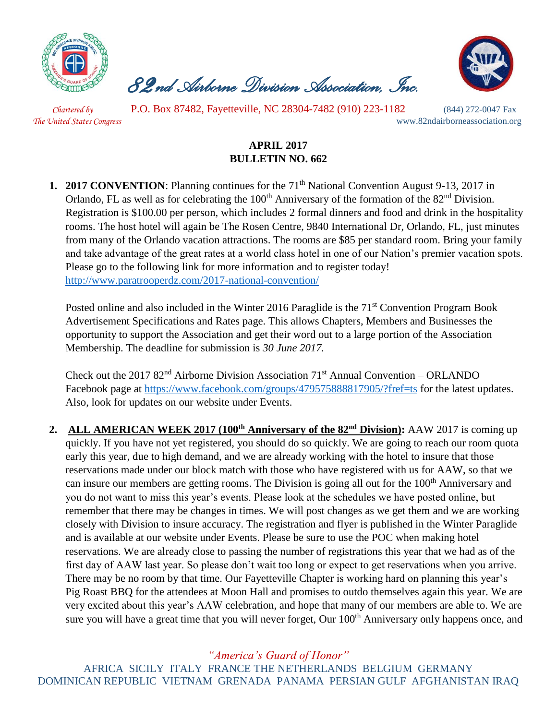

 *82nd Airborne Division Association, Inc.* 



 *Chartered by* P.O. Box 87482, Fayetteville, NC 28304-7482 (910) 223-1182 (844) 272-0047 Fax *The United States Congress* www.82ndairborneassociation.org

## **APRIL 2017 BULLETIN NO. 662**

**1. 2017 CONVENTION:** Planning continues for the 71<sup>th</sup> National Convention August 9-13, 2017 in Orlando, FL as well as for celebrating the 100<sup>th</sup> Anniversary of the formation of the 82<sup>nd</sup> Division. Registration is \$100.00 per person, which includes 2 formal dinners and food and drink in the hospitality rooms. The host hotel will again be The Rosen Centre, 9840 International Dr, Orlando, FL, just minutes from many of the Orlando vacation attractions. The rooms are \$85 per standard room. Bring your family and take advantage of the great rates at a world class hotel in one of our Nation's premier vacation spots. Please go to the following link for more information and to register today! <http://www.paratrooperdz.com/2017-national-convention/>

Posted online and also included in the Winter 2016 Paraglide is the 71<sup>st</sup> Convention Program Book Advertisement Specifications and Rates page. This allows Chapters, Members and Businesses the opportunity to support the Association and get their word out to a large portion of the Association Membership. The deadline for submission is *30 June 2017.*

Check out the 2017  $82<sup>nd</sup>$  Airborne Division Association 71<sup>st</sup> Annual Convention – ORLANDO Facebook page at<https://www.facebook.com/groups/479575888817905/?fref=ts> for the latest updates. Also, look for updates on our website under Events.

**2. ALL AMERICAN WEEK 2017 (100th Anniversary of the 82nd Division):** AAW 2017 is coming up quickly. If you have not yet registered, you should do so quickly. We are going to reach our room quota early this year, due to high demand, and we are already working with the hotel to insure that those reservations made under our block match with those who have registered with us for AAW, so that we can insure our members are getting rooms. The Division is going all out for the 100<sup>th</sup> Anniversary and you do not want to miss this year's events. Please look at the schedules we have posted online, but remember that there may be changes in times. We will post changes as we get them and we are working closely with Division to insure accuracy. The registration and flyer is published in the Winter Paraglide and is available at our website under Events. Please be sure to use the POC when making hotel reservations. We are already close to passing the number of registrations this year that we had as of the first day of AAW last year. So please don't wait too long or expect to get reservations when you arrive. There may be no room by that time. Our Fayetteville Chapter is working hard on planning this year's Pig Roast BBQ for the attendees at Moon Hall and promises to outdo themselves again this year. We are very excited about this year's AAW celebration, and hope that many of our members are able to. We are sure you will have a great time that you will never forget, Our 100<sup>th</sup> Anniversary only happens once, and

*"America's Guard of Honor"*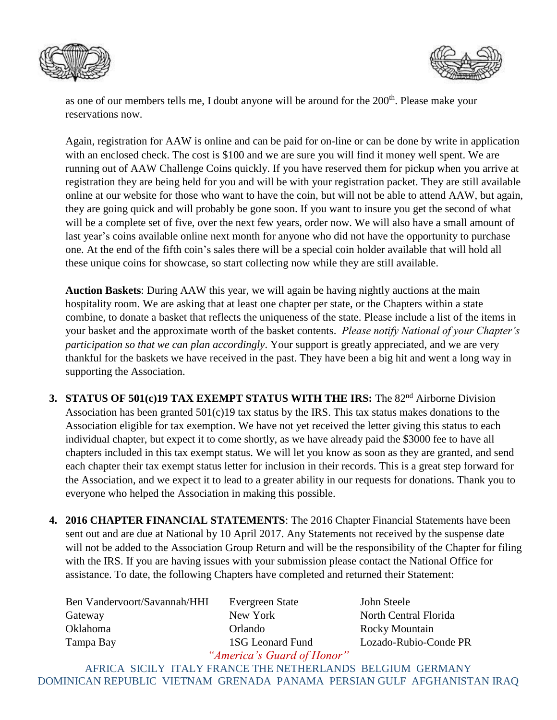



as one of our members tells me, I doubt anyone will be around for the 200<sup>th</sup>. Please make your reservations now.

Again, registration for AAW is online and can be paid for on-line or can be done by write in application with an enclosed check. The cost is \$100 and we are sure you will find it money well spent. We are running out of AAW Challenge Coins quickly. If you have reserved them for pickup when you arrive at registration they are being held for you and will be with your registration packet. They are still available online at our website for those who want to have the coin, but will not be able to attend AAW, but again, they are going quick and will probably be gone soon. If you want to insure you get the second of what will be a complete set of five, over the next few years, order now. We will also have a small amount of last year's coins available online next month for anyone who did not have the opportunity to purchase one. At the end of the fifth coin's sales there will be a special coin holder available that will hold all these unique coins for showcase, so start collecting now while they are still available.

**Auction Baskets**: During AAW this year, we will again be having nightly auctions at the main hospitality room. We are asking that at least one chapter per state, or the Chapters within a state combine, to donate a basket that reflects the uniqueness of the state. Please include a list of the items in your basket and the approximate worth of the basket contents. *Please notify National of your Chapter's participation so that we can plan accordingly*. Your support is greatly appreciated, and we are very thankful for the baskets we have received in the past. They have been a big hit and went a long way in supporting the Association.

- **3. STATUS OF 501(c)19 TAX EXEMPT STATUS WITH THE IRS:** The 82<sup>nd</sup> Airborne Division Association has been granted  $501(c)19$  tax status by the IRS. This tax status makes donations to the Association eligible for tax exemption. We have not yet received the letter giving this status to each individual chapter, but expect it to come shortly, as we have already paid the \$3000 fee to have all chapters included in this tax exempt status. We will let you know as soon as they are granted, and send each chapter their tax exempt status letter for inclusion in their records. This is a great step forward for the Association, and we expect it to lead to a greater ability in our requests for donations. Thank you to everyone who helped the Association in making this possible.
- **4. 2016 CHAPTER FINANCIAL STATEMENTS**: The 2016 Chapter Financial Statements have been sent out and are due at National by 10 April 2017. Any Statements not received by the suspense date will not be added to the Association Group Return and will be the responsibility of the Chapter for filing with the IRS. If you are having issues with your submission please contact the National Office for assistance. To date, the following Chapters have completed and returned their Statement:

| Ben Vandervoort/Savannah/HHI | Evergreen State                                                                                                                                                                                                                                                                                                                                             |
|------------------------------|-------------------------------------------------------------------------------------------------------------------------------------------------------------------------------------------------------------------------------------------------------------------------------------------------------------------------------------------------------------|
| Gateway                      | New York                                                                                                                                                                                                                                                                                                                                                    |
| Oklahoma                     | Orlando                                                                                                                                                                                                                                                                                                                                                     |
| Tampa Bay                    | 1SG Leonard Fund                                                                                                                                                                                                                                                                                                                                            |
|                              | $\mathcal{L}$ $\mathcal{L}$ $\mathcal{L}$ $\mathcal{L}$ $\mathcal{L}$ $\mathcal{L}$ $\mathcal{L}$ $\mathcal{L}$ $\mathcal{L}$ $\mathcal{L}$ $\mathcal{L}$ $\mathcal{L}$ $\mathcal{L}$ $\mathcal{L}$ $\mathcal{L}$ $\mathcal{L}$ $\mathcal{L}$ $\mathcal{L}$ $\mathcal{L}$ $\mathcal{L}$ $\mathcal{L}$ $\mathcal{L}$ $\mathcal{L}$ $\mathcal{L}$ $\mathcal{$ |

John Steele North Central Florida Rocky Mountain Lozado-Rubio-Conde PR

*"America's Guard of Honor"*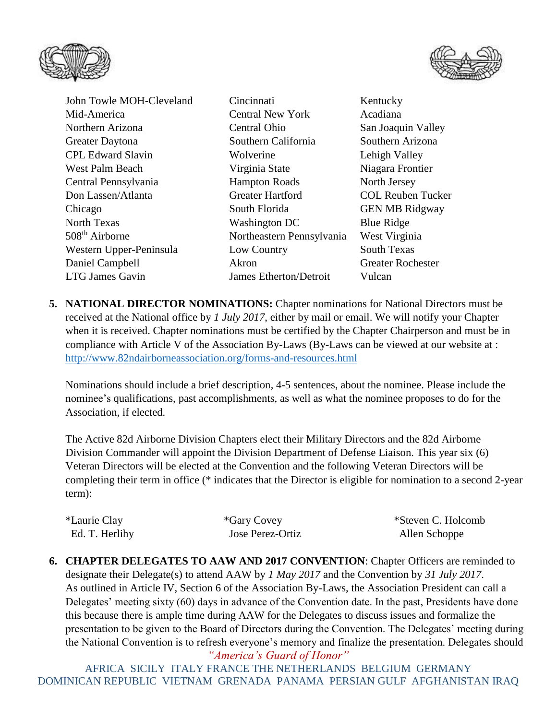



John Towle MOH-Cleveland Cincinnati Kentucky Mid-America Central New York Acadiana Northern Arizona Central Ohio San Joaquin Valley Greater Daytona Southern California Southern Arizona CPL Edward Slavin Wolverine Lehigh Valley West Palm Beach Virginia State Niagara Frontier Central Pennsylvania Hampton Roads North Jersey Don Lassen/Atlanta Greater Hartford COL Reuben Tucker Chicago South Florida GEN MB Ridgway North Texas Washington DC Blue Ridge 508<sup>th</sup> Airborne Northeastern Pennsylvania West Virginia Western Upper-Peninsula Low Country South Texas Daniel Campbell Akron Greater Rochester LTG James Gavin James Etherton/Detroit Vulcan

**5. NATIONAL DIRECTOR NOMINATIONS:** Chapter nominations for National Directors must be received at the National office by *1 July 2017*, either by mail or email. We will notify your Chapter when it is received. Chapter nominations must be certified by the Chapter Chairperson and must be in compliance with Article V of the Association By-Laws (By-Laws can be viewed at our website at : <http://www.82ndairborneassociation.org/forms-and-resources.html>

Nominations should include a brief description, 4-5 sentences, about the nominee. Please include the nominee's qualifications, past accomplishments, as well as what the nominee proposes to do for the Association, if elected.

The Active 82d Airborne Division Chapters elect their Military Directors and the 82d Airborne Division Commander will appoint the Division Department of Defense Liaison. This year six (6) Veteran Directors will be elected at the Convention and the following Veteran Directors will be completing their term in office (\* indicates that the Director is eligible for nomination to a second 2-year term):

| *Laurie Clay   | *Gary Covey      | *Steven C. Holcomb |
|----------------|------------------|--------------------|
| Ed. T. Herlihy | Jose Perez-Ortiz | Allen Schoppe      |

**6. CHAPTER DELEGATES TO AAW AND 2017 CONVENTION**: Chapter Officers are reminded to designate their Delegate(s) to attend AAW by *1 May 2017* and the Convention by *31 July 2017*. As outlined in Article IV, Section 6 of the Association By-Laws, the Association President can call a Delegates' meeting sixty (60) days in advance of the Convention date. In the past, Presidents have done this because there is ample time during AAW for the Delegates to discuss issues and formalize the presentation to be given to the Board of Directors during the Convention. The Delegates' meeting during the National Convention is to refresh everyone's memory and finalize the presentation. Delegates should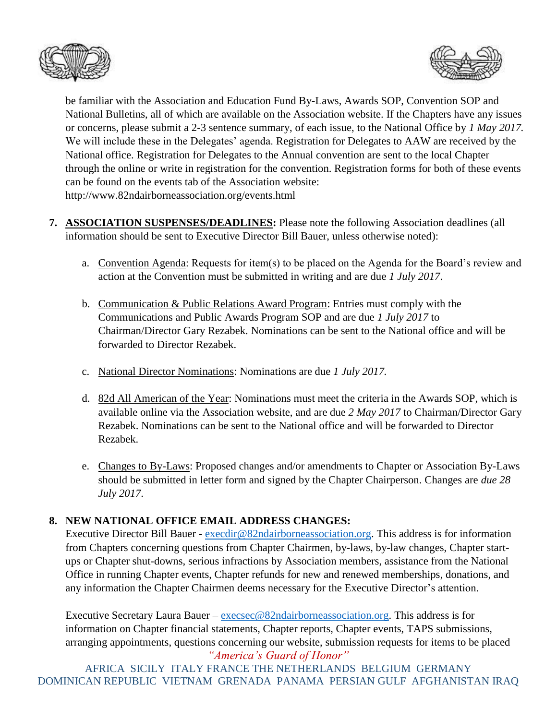



be familiar with the Association and Education Fund By-Laws, Awards SOP, Convention SOP and National Bulletins, all of which are available on the Association website. If the Chapters have any issues or concerns, please submit a 2-3 sentence summary, of each issue, to the National Office by *1 May 2017.* We will include these in the Delegates' agenda. Registration for Delegates to AAW are received by the National office. Registration for Delegates to the Annual convention are sent to the local Chapter through the online or write in registration for the convention. Registration forms for both of these events can be found on the events tab of the Association website: http://www.82ndairborneassociation.org/events.html

- **7. ASSOCIATION SUSPENSES/DEADLINES:** Please note the following Association deadlines (all information should be sent to Executive Director Bill Bauer, unless otherwise noted):
	- a. Convention Agenda: Requests for item(s) to be placed on the Agenda for the Board's review and action at the Convention must be submitted in writing and are due *1 July 2017*.
	- b. Communication & Public Relations Award Program: Entries must comply with the Communications and Public Awards Program SOP and are due *1 July 2017* to Chairman/Director Gary Rezabek. Nominations can be sent to the National office and will be forwarded to Director Rezabek.
	- c. National Director Nominations: Nominations are due *1 July 2017.*
	- d. 82d All American of the Year: Nominations must meet the criteria in the Awards SOP, which is available online via the Association website, and are due *2 May 2017* to Chairman/Director Gary Rezabek. Nominations can be sent to the National office and will be forwarded to Director Rezabek.
	- e. Changes to By-Laws: Proposed changes and/or amendments to Chapter or Association By-Laws should be submitted in letter form and signed by the Chapter Chairperson. Changes are *due 28 July 2017*.

## **8. NEW NATIONAL OFFICE EMAIL ADDRESS CHANGES:**

Executive Director Bill Bauer - [execdir@82ndairborneassociation.org.](mailto:execdir@82ndairborneassociation.org) This address is for information from Chapters concerning questions from Chapter Chairmen, by-laws, by-law changes, Chapter startups or Chapter shut-downs, serious infractions by Association members, assistance from the National Office in running Chapter events, Chapter refunds for new and renewed memberships, donations, and any information the Chapter Chairmen deems necessary for the Executive Director's attention.

*"America's Guard of Honor"* Executive Secretary Laura Bauer – [execsec@82ndairborneassociation.org.](mailto:execsec@82ndairborneassociation.org) This address is for information on Chapter financial statements, Chapter reports, Chapter events, TAPS submissions, arranging appointments, questions concerning our website, submission requests for items to be placed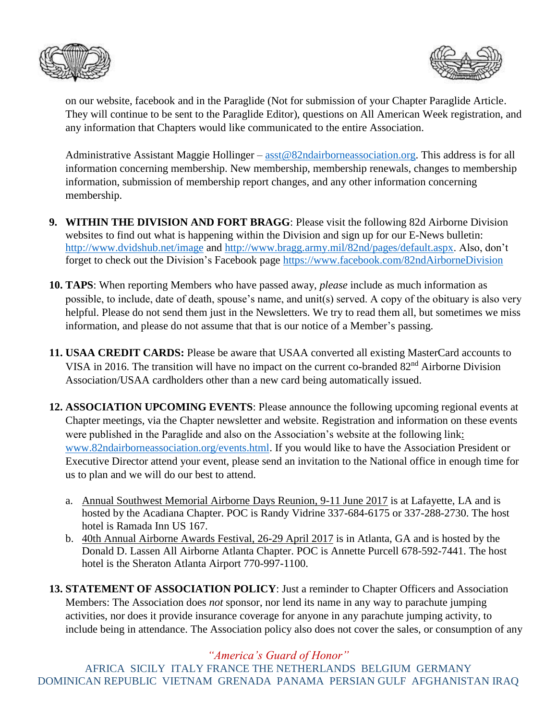



on our website, facebook and in the Paraglide (Not for submission of your Chapter Paraglide Article. They will continue to be sent to the Paraglide Editor), questions on All American Week registration, and any information that Chapters would like communicated to the entire Association.

Administrative Assistant Maggie Hollinger – [asst@82ndairborneassociation.org.](mailto:asst@82ndairborneassociation.org) This address is for all information concerning membership. New membership, membership renewals, changes to membership information, submission of membership report changes, and any other information concerning membership.

- **9. WITHIN THE DIVISION AND FORT BRAGG**: Please visit the following 82d Airborne Division websites to find out what is happening within the Division and sign up for our E-News bulletin: <http://www.dvidshub.net/image> and [http://www.bragg.army.mil/82nd/pages/default.aspx.](http://www.bragg.army.mil/82ND/Pages/default.aspx) Also, don't forget to check out the Division's Facebook page<https://www.facebook.com/82ndAirborneDivision>
- **10. TAPS**: When reporting Members who have passed away, *please* include as much information as possible, to include, date of death, spouse's name, and unit(s) served. A copy of the obituary is also very helpful. Please do not send them just in the Newsletters. We try to read them all, but sometimes we miss information, and please do not assume that that is our notice of a Member's passing.
- **11. USAA CREDIT CARDS:** Please be aware that USAA converted all existing MasterCard accounts to VISA in 2016. The transition will have no impact on the current co-branded  $82<sup>nd</sup>$  Airborne Division Association/USAA cardholders other than a new card being automatically issued.
- **12. ASSOCIATION UPCOMING EVENTS**: Please announce the following upcoming regional events at Chapter meetings, via the Chapter newsletter and website. Registration and information on these events were published in the Paraglide and also on the Association's website at the following link: [www.82ndairborneassociation.org/events.html.](http://www.82ndairborneassociation.org/events.html) If you would like to have the Association President or Executive Director attend your event, please send an invitation to the National office in enough time for us to plan and we will do our best to attend.
	- a. Annual Southwest Memorial Airborne Days Reunion, 9-11 June 2017 is at Lafayette, LA and is hosted by the Acadiana Chapter. POC is Randy Vidrine 337-684-6175 or 337-288-2730. The host hotel is Ramada Inn US 167.
	- b. 40th Annual Airborne Awards Festival, 26-29 April 2017 is in Atlanta, GA and is hosted by the Donald D. Lassen All Airborne Atlanta Chapter. POC is Annette Purcell 678-592-7441. The host hotel is the Sheraton Atlanta Airport 770-997-1100.
- **13. STATEMENT OF ASSOCIATION POLICY**: Just a reminder to Chapter Officers and Association Members: The Association does *not* sponsor, nor lend its name in any way to parachute jumping activities, nor does it provide insurance coverage for anyone in any parachute jumping activity, to include being in attendance. The Association policy also does not cover the sales, or consumption of any

*"America's Guard of Honor"*